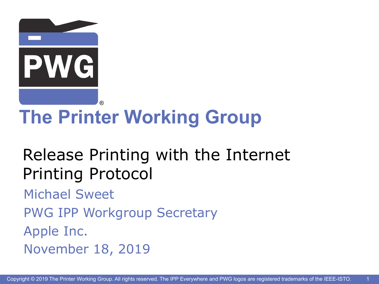

# **The Printer Working Group**

#### Release Printing with the Internet Printing Protocol

Michael Sweet

PWG IPP Workgroup Secretary

Apple Inc.

November 18, 2019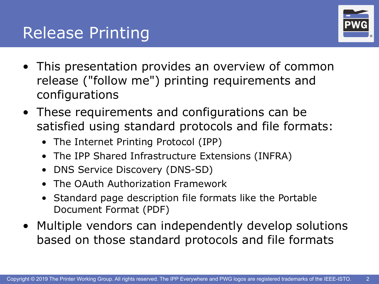#### **Release Printing**



- This presentation provides an overview of common release ("follow me") printing requirements and configurations
- These requirements and configurations can be satisfied using standard protocols and file formats:
	- The Internet Printing Protocol (IPP)
	- The IPP Shared Infrastructure Extensions (INFRA)
	- DNS Service Discovery (DNS-SD)
	- The OAuth Authorization Framework
	- Standard page description file formats like the Portable Document Format (PDF)
- Multiple vendors can independently develop solutions based on those standard protocols and file formats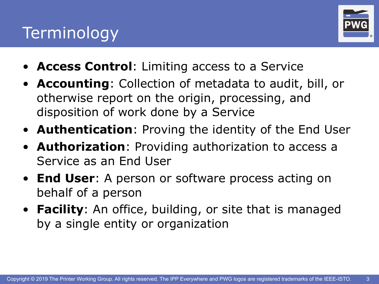#### **Terminology**



- **Access Control**: Limiting access to a Service
- **Accounting**: Collection of metadata to audit, bill, or otherwise report on the origin, processing, and disposition of work done by a Service
- **Authentication**: Proving the identity of the End User
- **Authorization**: Providing authorization to access a Service as an End User
- **End User**: A person or software process acting on behalf of a person
- **Facility**: An office, building, or site that is managed by a single entity or organization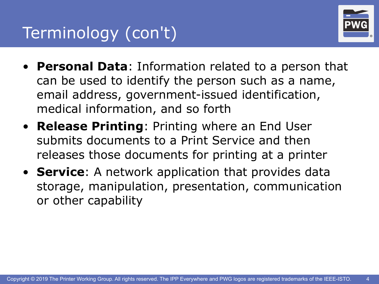

- **Personal Data**: Information related to a person that can be used to identify the person such as a name, email address, government-issued identification, medical information, and so forth
- **Release Printing**: Printing where an End User submits documents to a Print Service and then releases those documents for printing at a printer
- **Service**: A network application that provides data storage, manipulation, presentation, communication or other capability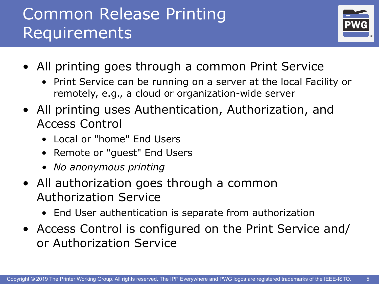#### Common Release Printing Requirements



- All printing goes through a common Print Service
	- Print Service can be running on a server at the local Facility or remotely, e.g., a cloud or organization-wide server
- All printing uses Authentication, Authorization, and Access Control
	- Local or "home" End Users
	- Remote or "guest" End Users
	- *• No anonymous printing*
- All authorization goes through a common Authorization Service
	- End User authentication is separate from authorization
- Access Control is configured on the Print Service and/ or Authorization Service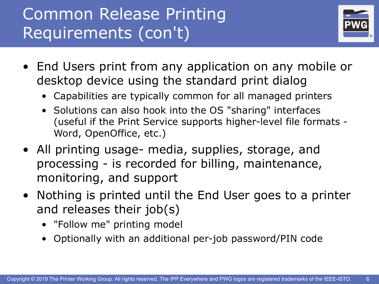### Common Release Printing Requirements (con't)



- End Users print from any application on any mobile or desktop device using the standard print dialog
	- Capabilities are typically common for all managed printers
	- Solutions can also hook into the OS "sharing" interfaces (useful if the Print Service supports higher-level file formats - Word, OpenOffice, etc.)
- All printing usage- media, supplies, storage, and processing - is recorded for billing, maintenance, monitoring, and support
- Nothing is printed until the End User goes to a printer and releases their job(s)
	- "Follow me" printing model
	- Optionally with an additional per-job password/PIN code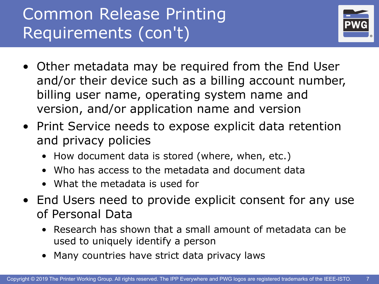### Common Release Printing Requirements (con't)



- Other metadata may be required from the End User and/or their device such as a billing account number, billing user name, operating system name and version, and/or application name and version
- Print Service needs to expose explicit data retention and privacy policies
	- How document data is stored (where, when, etc.)
	- Who has access to the metadata and document data
	- What the metadata is used for
- End Users need to provide explicit consent for any use of Personal Data
	- Research has shown that a small amount of metadata can be used to uniquely identify a person
	- Many countries have strict data privacy laws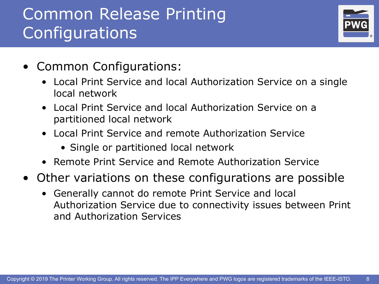#### Common Release Printing **Configurations**



- Common Configurations:
	- Local Print Service and local Authorization Service on a single local network
	- Local Print Service and local Authorization Service on a partitioned local network
	- Local Print Service and remote Authorization Service
		- Single or partitioned local network
	- Remote Print Service and Remote Authorization Service
- Other variations on these configurations are possible
	- Generally cannot do remote Print Service and local Authorization Service due to connectivity issues between Print and Authorization Services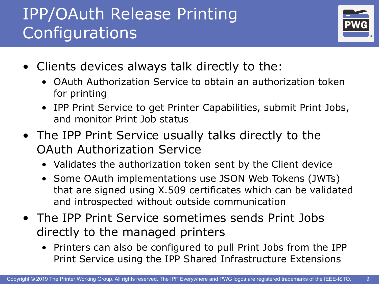### IPP/OAuth Release Printing Configurations



- Clients devices always talk directly to the:
	- OAuth Authorization Service to obtain an authorization token for printing
	- IPP Print Service to get Printer Capabilities, submit Print Jobs, and monitor Print Job status
- The IPP Print Service usually talks directly to the OAuth Authorization Service
	- Validates the authorization token sent by the Client device
	- Some OAuth implementations use JSON Web Tokens (JWTs) that are signed using X.509 certificates which can be validated and introspected without outside communication
- The IPP Print Service sometimes sends Print Jobs directly to the managed printers
	- Printers can also be configured to pull Print Jobs from the IPP Print Service using the IPP Shared Infrastructure Extensions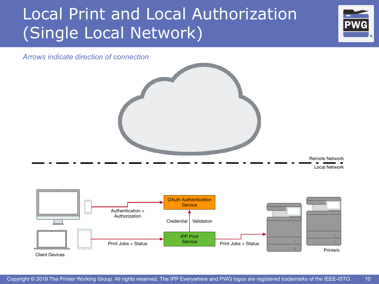### Local Print and Local Authorization (Single Local Network)



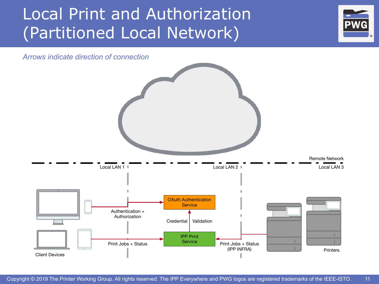#### Local Print and Authorization (Partitioned Local Network)



11

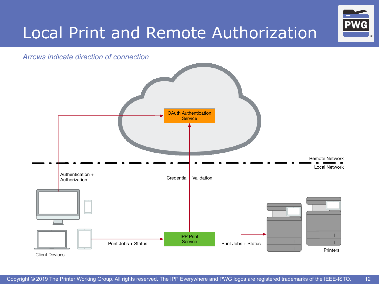

## Local Print and Remote Authorization Pwg

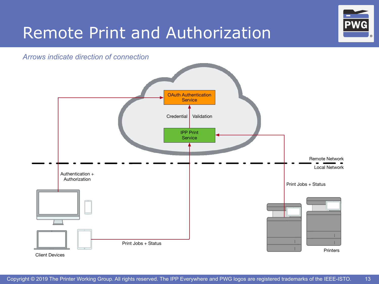

## Remote Print and Authorization **PWG**

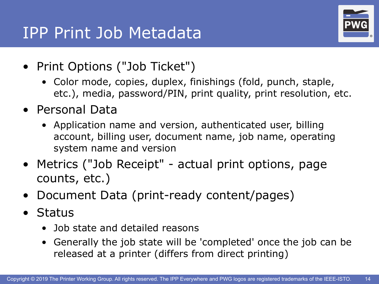#### IPP Print Job Metadata



- Print Options ("Job Ticket")
	- Color mode, copies, duplex, finishings (fold, punch, staple, etc.), media, password/PIN, print quality, print resolution, etc.
- Personal Data
	- Application name and version, authenticated user, billing account, billing user, document name, job name, operating system name and version
- Metrics ("Job Receipt" actual print options, page counts, etc.)
- Document Data (print-ready content/pages)
- Status
	- Job state and detailed reasons
	- Generally the job state will be 'completed' once the job can be released at a printer (differs from direct printing)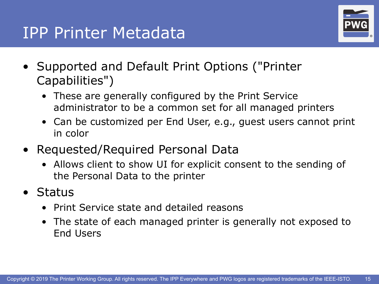#### **IPP Printer Metadata**



- Supported and Default Print Options ("Printer Capabilities")
	- These are generally configured by the Print Service administrator to be a common set for all managed printers
	- Can be customized per End User, e.g., guest users cannot print in color
- Requested/Required Personal Data
	- Allows client to show UI for explicit consent to the sending of the Personal Data to the printer
- Status
	- Print Service state and detailed reasons
	- The state of each managed printer is generally not exposed to End Users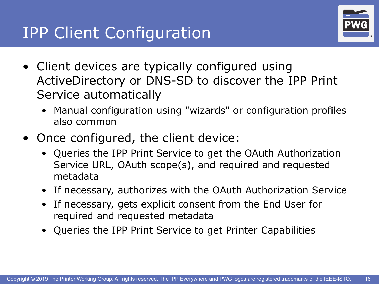

- Client devices are typically configured using ActiveDirectory or DNS-SD to discover the IPP Print Service automatically
	- Manual configuration using "wizards" or configuration profiles also common
- Once configured, the client device:
	- Queries the IPP Print Service to get the OAuth Authorization Service URL, OAuth scope(s), and required and requested metadata
	- If necessary, authorizes with the OAuth Authorization Service
	- If necessary, gets explicit consent from the End User for required and requested metadata
	- Queries the IPP Print Service to get Printer Capabilities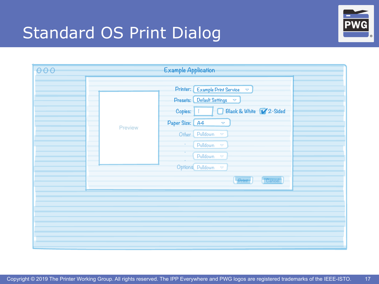## Standard OS Print Dialog **BR**



| 000 |         | <b>Example Application</b>                                |
|-----|---------|-----------------------------------------------------------|
|     |         | Printer: Example Print Service<br>$\bigtriangledown$      |
|     |         | Presets: Default Settings $\triangledown$                 |
|     |         | Black & White 12-Sided<br>Copies:                         |
|     | Preview | Paper Size: A4<br>$\bigtriangledown$                      |
|     |         | Other<br>Pulldown<br>$\bigtriangledown$                   |
|     |         | Pulldown<br>$\overline{\nabla}$<br>$\bullet$<br>$\bullet$ |
|     |         | Pulldown<br>$\blacktriangledown$                          |
|     |         | Options Pulldown $\infty$                                 |
|     |         | $\begin{bmatrix} \text{Cancel} \end{bmatrix}$<br>Print    |
|     |         |                                                           |
|     |         |                                                           |
|     |         |                                                           |
|     |         |                                                           |
|     |         |                                                           |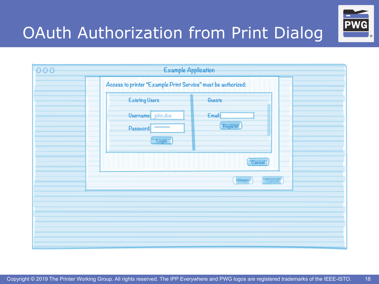## OAuth Authorization from Print Dialog



| 000 | <b>Example Application</b>                                                             |  |
|-----|----------------------------------------------------------------------------------------|--|
|     | Access to printer "Example Print Service" must be authorized:                          |  |
|     | <b>Existing Users</b><br><b>Guests</b>                                                 |  |
|     | Username: john.doe<br>Email:<br>Register<br>1000000000<br>Password:<br>Login<br>Cancel |  |
|     | Cancel <sup>-</sup><br>Print                                                           |  |
|     |                                                                                        |  |